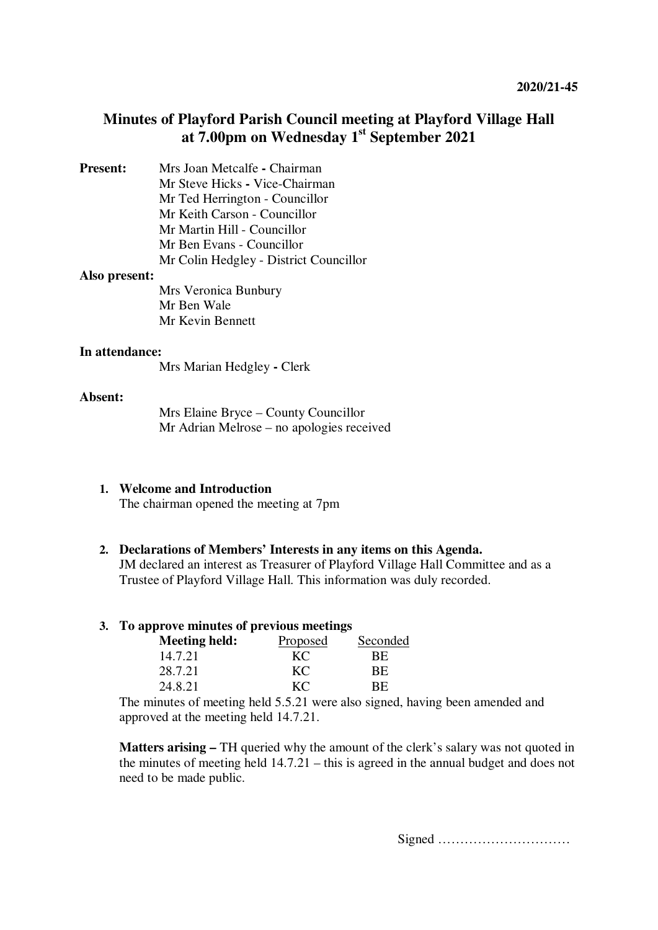# **Minutes of Playford Parish Council meeting at Playford Village Hall at 7.00pm on Wednesday 1st September 2021**

**Present:** Mrs Joan Metcalfe **-** Chairman Mr Steve Hicks **-** Vice-Chairman Mr Ted Herrington - Councillor Mr Keith Carson - Councillor Mr Martin Hill - Councillor Mr Ben Evans - Councillor Mr Colin Hedgley - District Councillor

#### **Also present:**

Mrs Veronica Bunbury Mr Ben Wale Mr Kevin Bennett

#### **In attendance:**

Mrs Marian Hedgley **-** Clerk

#### **Absent:**

Mrs Elaine Bryce – County Councillor Mr Adrian Melrose – no apologies received

#### **1. Welcome and Introduction**

The chairman opened the meeting at 7pm

### **2. Declarations of Members' Interests in any items on this Agenda.**

JM declared an interest as Treasurer of Playford Village Hall Committee and as a Trustee of Playford Village Hall. This information was duly recorded.

#### **3. To approve minutes of previous meetings**

| Meeting held: | Proposed | Seconded |  |
|---------------|----------|----------|--|
| 14.7.21       | KС       | BЕ       |  |
| 28.7.21       | KC       | ВE       |  |
| 24.8.21       | KС       | BE.      |  |

The minutes of meeting held 5.5.21 were also signed, having been amended and approved at the meeting held 14.7.21.

**Matters arising –** TH queried why the amount of the clerk's salary was not quoted in the minutes of meeting held 14.7.21 – this is agreed in the annual budget and does not need to be made public.

Signed …………………………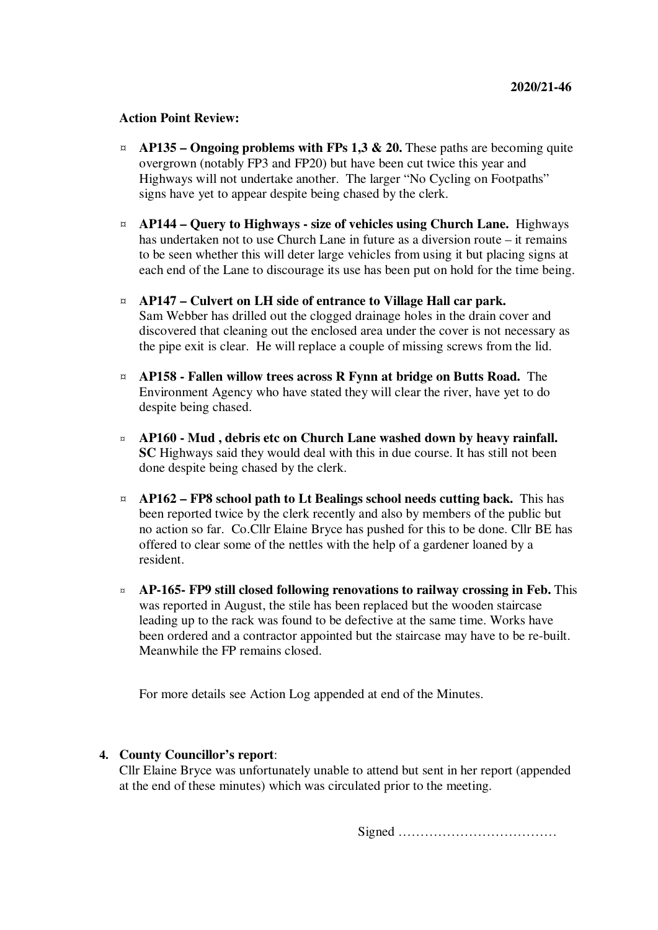#### **Action Point Review:**

- $\alpha$  **AP135 Ongoing problems with FPs 1,3 & 20.** These paths are becoming quite overgrown (notably FP3 and FP20) but have been cut twice this year and Highways will not undertake another. The larger "No Cycling on Footpaths" signs have yet to appear despite being chased by the clerk.
- ¤ **AP144 Query to Highways size of vehicles using Church Lane.** Highways has undertaken not to use Church Lane in future as a diversion route – it remains to be seen whether this will deter large vehicles from using it but placing signs at each end of the Lane to discourage its use has been put on hold for the time being.
- ¤ **AP147 Culvert on LH side of entrance to Village Hall car park.** Sam Webber has drilled out the clogged drainage holes in the drain cover and discovered that cleaning out the enclosed area under the cover is not necessary as the pipe exit is clear. He will replace a couple of missing screws from the lid.
- ¤ **AP158 Fallen willow trees across R Fynn at bridge on Butts Road.** The Environment Agency who have stated they will clear the river, have yet to do despite being chased.
- ¤ **AP160 Mud , debris etc on Church Lane washed down by heavy rainfall. SC** Highways said they would deal with this in due course. It has still not been done despite being chased by the clerk.
- ¤ **AP162 FP8 school path to Lt Bealings school needs cutting back.** This has been reported twice by the clerk recently and also by members of the public but no action so far. Co.Cllr Elaine Bryce has pushed for this to be done. Cllr BE has offered to clear some of the nettles with the help of a gardener loaned by a resident.
- ¤ **AP-165- FP9 still closed following renovations to railway crossing in Feb.** This was reported in August, the stile has been replaced but the wooden staircase leading up to the rack was found to be defective at the same time. Works have been ordered and a contractor appointed but the staircase may have to be re-built. Meanwhile the FP remains closed.

For more details see Action Log appended at end of the Minutes.

### **4. County Councillor's report**:

Cllr Elaine Bryce was unfortunately unable to attend but sent in her report (appended at the end of these minutes) which was circulated prior to the meeting.

Signed ………………………………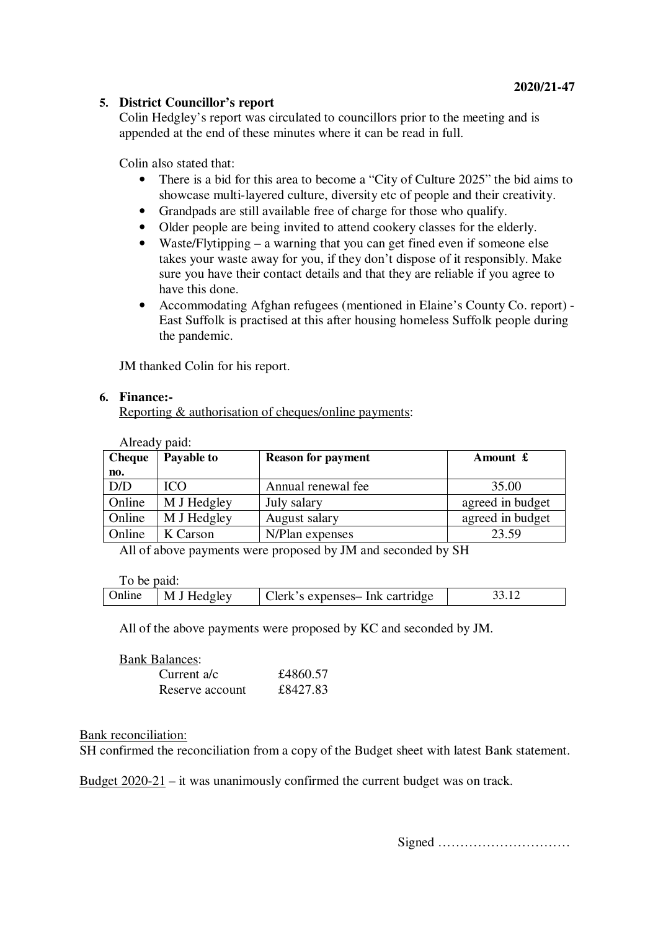## **5. District Councillor's report**

Colin Hedgley's report was circulated to councillors prior to the meeting and is appended at the end of these minutes where it can be read in full.

Colin also stated that:

- There is a bid for this area to become a "City of Culture 2025" the bid aims to showcase multi-layered culture, diversity etc of people and their creativity.
- Grandpads are still available free of charge for those who qualify.
- Older people are being invited to attend cookery classes for the elderly.
- Waste/Flytipping a warning that you can get fined even if someone else takes your waste away for you, if they don't dispose of it responsibly. Make sure you have their contact details and that they are reliable if you agree to have this done.
- Accommodating Afghan refugees (mentioned in Elaine's County Co. report) East Suffolk is practised at this after housing homeless Suffolk people during the pandemic.

JM thanked Colin for his report.

### **6. Finance:-**

Reporting & authorisation of cheques/online payments:

| Already paid: |             |                           |                  |
|---------------|-------------|---------------------------|------------------|
| <b>Cheque</b> | Payable to  | <b>Reason for payment</b> | Amount £         |
| no.           |             |                           |                  |
| D/D           | <b>ICO</b>  | Annual renewal fee        | 35.00            |
| Online        | M J Hedgley | July salary               | agreed in budget |
| Online        | M J Hedgley | August salary             | agreed in budget |
| Online        | K Carson    | N/Plan expenses           | 23.59            |

All of above payments were proposed by JM and seconded by SH

To be paid:

| Online | M J Hedgley | Clerk's expenses- Ink cartridge |  |
|--------|-------------|---------------------------------|--|
|        |             |                                 |  |

All of the above payments were proposed by KC and seconded by JM.

| <b>Bank Balances:</b> |          |
|-----------------------|----------|
| Current a/c           | £4860.57 |
| Reserve account       | £8427.83 |

#### Bank reconciliation:

SH confirmed the reconciliation from a copy of the Budget sheet with latest Bank statement.

Budget 2020-21 – it was unanimously confirmed the current budget was on track.

Signed …………………………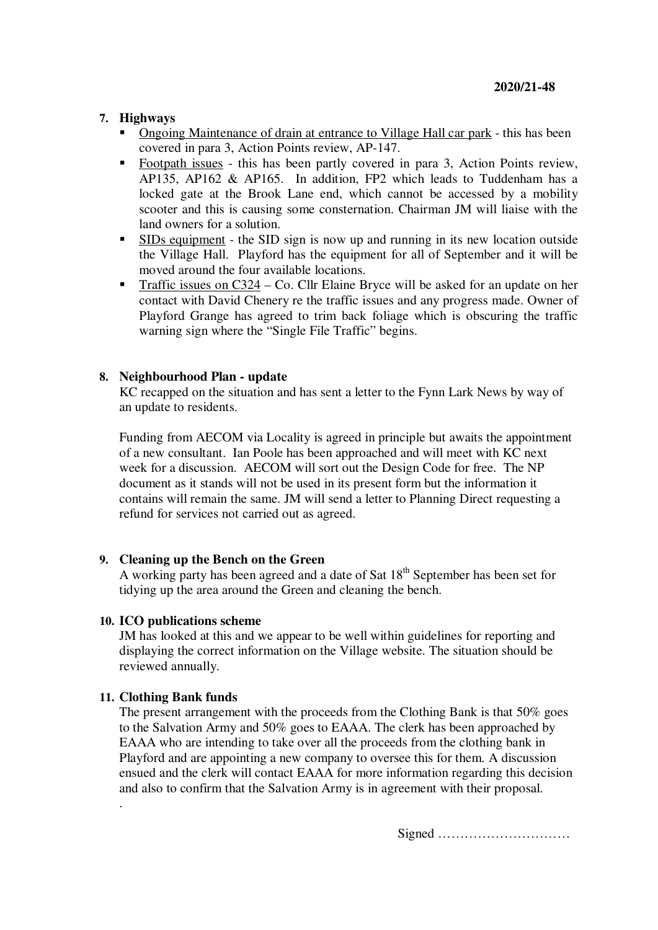### **7. Highways**

- Ongoing Maintenance of drain at entrance to Village Hall car park this has been covered in para 3, Action Points review, AP-147.
- Footpath issues this has been partly covered in para 3, Action Points review, AP135, AP162 & AP165. In addition, FP2 which leads to Tuddenham has a locked gate at the Brook Lane end, which cannot be accessed by a mobility scooter and this is causing some consternation. Chairman JM will liaise with the land owners for a solution.
- SIDs equipment the SID sign is now up and running in its new location outside the Village Hall. Playford has the equipment for all of September and it will be moved around the four available locations.
- Traffic issues on C324 Co. Cllr Elaine Bryce will be asked for an update on her contact with David Chenery re the traffic issues and any progress made. Owner of Playford Grange has agreed to trim back foliage which is obscuring the traffic warning sign where the "Single File Traffic" begins.

## **8. Neighbourhood Plan - update**

KC recapped on the situation and has sent a letter to the Fynn Lark News by way of an update to residents.

Funding from AECOM via Locality is agreed in principle but awaits the appointment of a new consultant. Ian Poole has been approached and will meet with KC next week for a discussion. AECOM will sort out the Design Code for free. The NP document as it stands will not be used in its present form but the information it contains will remain the same. JM will send a letter to Planning Direct requesting a refund for services not carried out as agreed.

### **9. Cleaning up the Bench on the Green**

A working party has been agreed and a date of Sat  $18<sup>th</sup>$  September has been set for tidying up the area around the Green and cleaning the bench.

### **10. ICO publications scheme**

JM has looked at this and we appear to be well within guidelines for reporting and displaying the correct information on the Village website. The situation should be reviewed annually.

# **11. Clothing Bank funds**

.

The present arrangement with the proceeds from the Clothing Bank is that 50% goes to the Salvation Army and 50% goes to EAAA. The clerk has been approached by EAAA who are intending to take over all the proceeds from the clothing bank in Playford and are appointing a new company to oversee this for them. A discussion ensued and the clerk will contact EAAA for more information regarding this decision and also to confirm that the Salvation Army is in agreement with their proposal.

Signed …………………………